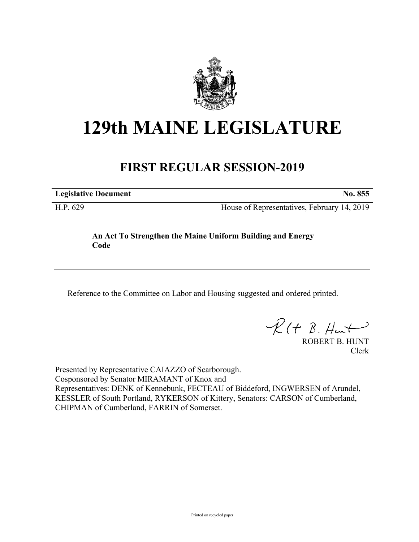

# **129th MAINE LEGISLATURE**

## **FIRST REGULAR SESSION-2019**

**Legislative Document No. 855**

H.P. 629 House of Representatives, February 14, 2019

### **An Act To Strengthen the Maine Uniform Building and Energy Code**

Reference to the Committee on Labor and Housing suggested and ordered printed.

 $R(t B. Hmt)$ 

ROBERT B. HUNT Clerk

Presented by Representative CAIAZZO of Scarborough. Cosponsored by Senator MIRAMANT of Knox and Representatives: DENK of Kennebunk, FECTEAU of Biddeford, INGWERSEN of Arundel, KESSLER of South Portland, RYKERSON of Kittery, Senators: CARSON of Cumberland, CHIPMAN of Cumberland, FARRIN of Somerset.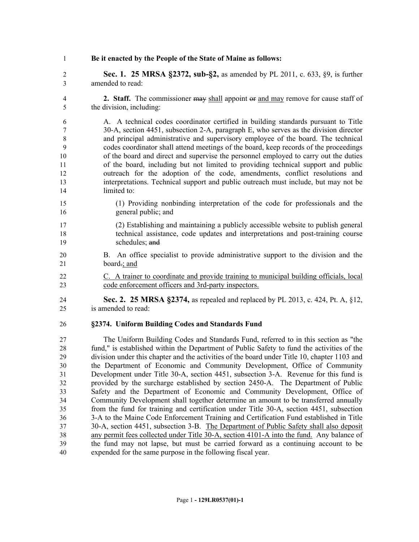**Be it enacted by the People of the State of Maine as follows:**

 **Sec. 1. 25 MRSA §2372, sub-§2,** as amended by PL 2011, c. 633, §9, is further amended to read:

 **2. Staff.** The commissioner may shall appoint or and may remove for cause staff of the division, including:

 A. A technical codes coordinator certified in building standards pursuant to Title 30-A, section 4451, subsection 2-A, paragraph E, who serves as the division director and principal administrative and supervisory employee of the board. The technical codes coordinator shall attend meetings of the board, keep records of the proceedings of the board and direct and supervise the personnel employed to carry out the duties of the board, including but not limited to providing technical support and public outreach for the adoption of the code, amendments, conflict resolutions and interpretations. Technical support and public outreach must include, but may not be limited to:

- (1) Providing nonbinding interpretation of the code for professionals and the general public; and
- (2) Establishing and maintaining a publicly accessible website to publish general technical assistance, code updates and interpretations and post-training course schedules; and
- B. An office specialist to provide administrative support to the division and the 21 board.; and
- C. A trainer to coordinate and provide training to municipal building officials, local code enforcement officers and 3rd-party inspectors.
- **Sec. 2. 25 MRSA §2374,** as repealed and replaced by PL 2013, c. 424, Pt. A, §12, is amended to read:

#### **§2374. Uniform Building Codes and Standards Fund**

 The Uniform Building Codes and Standards Fund, referred to in this section as "the fund," is established within the Department of Public Safety to fund the activities of the division under this chapter and the activities of the board under Title 10, chapter 1103 and the Department of Economic and Community Development, Office of Community Development under Title 30-A, section 4451, subsection 3-A. Revenue for this fund is provided by the surcharge established by section 2450-A. The Department of Public Safety and the Department of Economic and Community Development, Office of Community Development shall together determine an amount to be transferred annually from the fund for training and certification under Title 30-A, section 4451, subsection 3-A to the Maine Code Enforcement Training and Certification Fund established in Title 30-A, section 4451, subsection 3-B. The Department of Public Safety shall also deposit any permit fees collected under Title 30-A, section 4101-A into the fund. Any balance of the fund may not lapse, but must be carried forward as a continuing account to be expended for the same purpose in the following fiscal year.